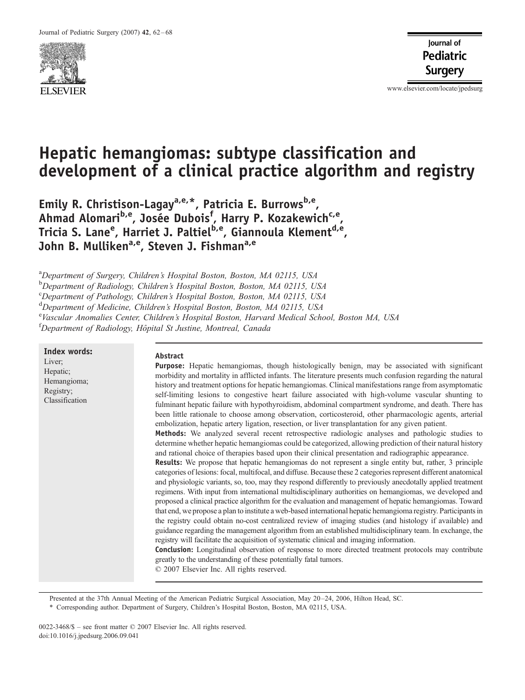

www.elsevier.com/locate/jpedsurg

# Hepatic hemangiomas: subtype classification and development of a clinical practice algorithm and registry

Emily R. Christison-Lagay<sup>a,e,\*</sup>, Patricia E. Burrows<sup>b,e</sup>, Ahmad Alomari<sup>b,e</sup>, Josée Dubois<sup>f</sup>, Harry P. Kozakewich<sup>c,e</sup>, Tricia S. Lane<sup>e</sup>, Harriet J. Paltiel<sup>b,e</sup>, Giannoula Klement<sup>d,e</sup>, John B. Mulliken<sup>a,e</sup>, Steven J. Fishman<sup>a,e</sup>

<sup>a</sup>Department of Surgery, Children's Hospital Boston, Boston, MA 02115, USA

**b** Department of Radiology, Children's Hospital Boston, Boston, MA 02115, USA

c Department of Pathology, Children's Hospital Boston, Boston, MA 02115, USA

<sup>d</sup>Department of Medicine, Children's Hospital Boston, Boston, MA 02115, USA

e<br>Vascular Anomalies Center, Children's Hospital Boston, Harvard Medical School, Boston MA, USA

<sup>f</sup>Department of Radiology, Hôpital St Justine, Montreal, Canada

Index words: Liver; Hepatic; Hemangioma; Registry; Classification

#### Abstract

Purpose: Hepatic hemangiomas, though histologically benign, may be associated with significant morbidity and mortality in afflicted infants. The literature presents much confusion regarding the natural history and treatment options for hepatic hemangiomas. Clinical manifestations range from asymptomatic self-limiting lesions to congestive heart failure associated with high-volume vascular shunting to fulminant hepatic failure with hypothyroidism, abdominal compartment syndrome, and death. There has been little rationale to choose among observation, corticosteroid, other pharmacologic agents, arterial embolization, hepatic artery ligation, resection, or liver transplantation for any given patient. Methods: We analyzed several recent retrospective radiologic analyses and pathologic studies to

determine whether hepatic hemangiomas could be categorized, allowing prediction of their natural history and rational choice of therapies based upon their clinical presentation and radiographic appearance. Results: We propose that hepatic hemangiomas do not represent a single entity but, rather, 3 principle

categories of lesions: focal, multifocal, and diffuse. Because these 2 categories represent different anatomical and physiologic variants, so, too, may they respond differently to previously anecdotally applied treatment regimens. With input from international multidisciplinary authorities on hemangiomas, we developed and proposed a clinical practice algorithm for the evaluation and management of hepatic hemangiomas. Toward that end, we propose a plan to institute a web-based international hepatic hemangioma registry. Participants in the registry could obtain no-cost centralized review of imaging studies (and histology if available) and guidance regarding the management algorithm from an established multidisciplinary team. In exchange, the registry will facilitate the acquisition of systematic clinical and imaging information.

Conclusion: Longitudinal observation of response to more directed treatment protocols may contribute greatly to the understanding of these potentially fatal tumors.

 $© 2007 Elsevier Inc. All rights reserved.$ 

Presented at the 37th Annual Meeting of the American Pediatric Surgical Association, May 20 –24, 2006, Hilton Head, SC.

\* Corresponding author. Department of Surgery, Children's Hospital Boston, Boston, MA 02115, USA.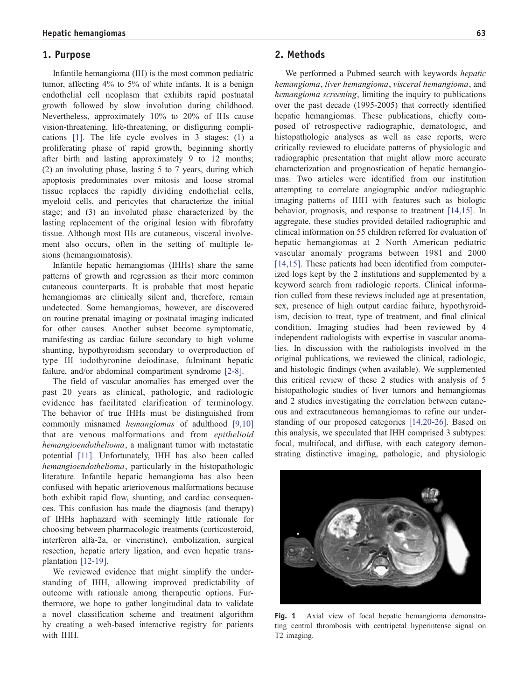#### <span id="page-1-0"></span>1. Purpose

Infantile hemangioma (IH) is the most common pediatric tumor, affecting 4% to 5% of white infants. It is a benign endothelial cell neoplasm that exhibits rapid postnatal growth followed by slow involution during childhood. Nevertheless, approximately 10% to 20% of IHs cause vision-t[hrea](#page-5-0)tening, life-threatening, or disfiguring complications [1]. The life cycle evolves in 3 stages: (1) a proliferating phase of rapid growth, beginning shortly after birth and lasting approximately 9 to 12 months; (2) an involuting phase, lasting 5 to 7 years, during which apoptosis predominates over mitosis and loose stromal tissue replaces the rapidly dividing endothelial cells, myeloid cells, and pericytes that characterize the initial stage; and (3) an involuted phase characterized by the lasting replacement of the original lesion with fibrofatty tissue. Although most IHs are cutaneous, visceral involvement also occurs, often in the setting of multiple lesions (hemangiomatosis).

Infantile hepatic hemangiomas (IHHs) share the same patterns of growth and regression as their more common cutaneous counterparts. It is probable that most hepatic hemangiomas are clinically silent and, therefore, remain undetected. Some hemangiomas, however, are discovered on routine prenatal imaging or postnatal imaging indicated for other causes. Another subset become symptomatic, manifesting as cardiac failure secondary to high volume shunting, hypothyroidism secondary to overproduction of type III iodothyronine deiodinase, fulminant hepatic failure, and/or abdominal compartment syndrome [\[2-8\].](#page-5-0)

The field of vascular anomalies has emerged over the past 20 years as clinical, pathologic, and radiologic evidence has facilitated clarification of terminology. The behavior of true IHHs must be distinguished from commonly misnamed hemangiomas of adulthood [\[9,10\]](#page-5-0) that are venous malformations and from epithelioid hemangioendothelioma, a malignant tumor with metastatic potential [\[11\].](#page-5-0) Unfortunately, IHH has also been called hemangioendothelioma, particularly in the histopathologic literature. Infantile hepatic hemangioma has also been confused with hepatic arteriovenous malformations because both exhibit rapid flow, shunting, and cardiac consequences. This confusion has made the diagnosis (and therapy) of IHHs haphazard with seemingly little rationale for choosing between pharmacologic treatments (corticosteroid, interferon alfa-2a, or vincristine), embolization, surgical resection, hepatic artery ligation, and even hepatic transplantation [\[12-19\].](#page-5-0)

We reviewed evidence that might simplify the understanding of IHH, allowing improved predictability of outcome with rationale among therapeutic options. Furthermore, we hope to gather longitudinal data to validate a novel classification scheme and treatment algorithm by creating a web-based interactive registry for patients with IHH.

## 2. Methods

We performed a Pubmed search with keywords hepatic hemangioma, liver hemangioma, visceral hemangioma, and hemangioma screening, limiting the inquiry to publications over the past decade (1995-2005) that correctly identified hepatic hemangiomas. These publications, chiefly composed of retrospective radiographic, dematologic, and histopathologic analyses as well as case reports, were critically reviewed to elucidate patterns of physiologic and radiographic presentation that might allow more accurate characterization and prognostication of hepatic hemangiomas. Two articles were identified from our institution attempting to correlate angiographic and/or radiographic imaging patterns of IHH with features such as biologic behavior, prognosis, and response to treatment [\[14,15\].](#page-5-0) In aggregate, these studies provided detailed radiographic and clinical information on 55 children referred for evaluation of hepatic hemangiomas at 2 North American pediatric vascular anomaly programs between 1981 and 2000 [\[14,15\].](#page-5-0) These patients had been identified from computerized logs kept by the 2 institutions and supplemented by a keyword search from radiologic reports. Clinical information culled from these reviews included age at presentation, sex, presence of high output cardiac failure, hypothyroidism, decision to treat, type of treatment, and final clinical condition. Imaging studies had been reviewed by 4 independent radiologists with expertise in vascular anomalies. In discussion with the radiologists involved in the original publications, we reviewed the clinical, radiologic, and histologic findings (when available). We supplemented this critical review of these 2 studies with analysis of 5 histopathologic studies of liver tumors and hemangiomas and 2 studies investigating the correlation between cutaneous and extracutaneous hemangiomas to refine our understanding of our proposed categories [\[14,20-26\].](#page-5-0) Based on this analysis, we speculated that IHH comprised 3 subtypes: focal, multifocal, and diffuse, with each category demonstrating distinctive imaging, pathologic, and physiologic



Fig. 1 Axial view of focal hepatic hemangioma demonstrating central thrombosis with centripetal hyperintense signal on T2 imaging.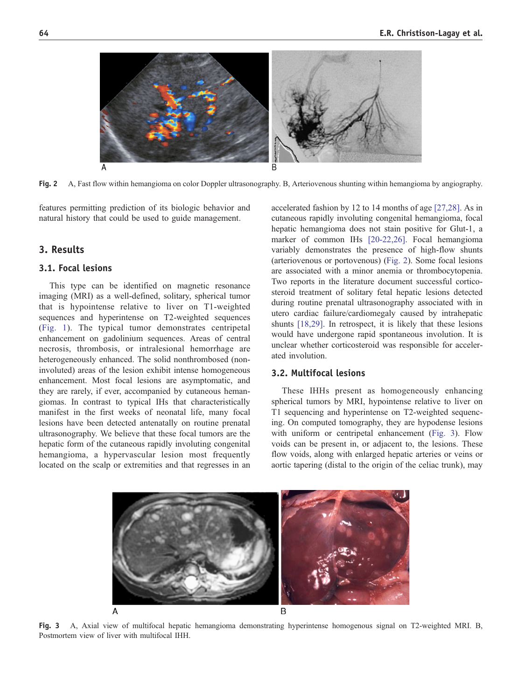

Fig. 2 A, Fast flow within hemangioma on color Doppler ultrasonography. B, Arteriovenous shunting within hemangioma by angiography.

features permitting prediction of its biologic behavior and natural history that could be used to guide management.

## 3. Results

#### 3.1. Focal lesions

This type can be identified on magnetic resonance imaging (MRI) as a well-defined, solitary, spherical tumor that is hypointense relative to liver on T1-weighted sequences and hyperintense on T2-weighted sequences ([Fig.](#page-1-0) [1\)](#page-1-0). The typical tumor demonstrates centripetal enhancement on gadolinium sequences. Areas of central necrosis, thrombosis, or intralesional hemorrhage are heterogeneously enhanced. The solid nonthrombosed (noninvoluted) areas of the lesion exhibit intense homogeneous enhancement. Most focal lesions are asymptomatic, and they are rarely, if ever, accompanied by cutaneous hemangiomas. In contrast to typical IHs that characteristically manifest in the first weeks of neonatal life, many focal lesions have been detected antenatally on routine prenatal ultrasonography. We believe that these focal tumors are the hepatic form of the cutaneous rapidly involuting congenital hemangioma, a hypervascular lesion most frequently located on the scalp or extremities and that regresses in an accelerated fashion by 12 to 14 months of age [\[27,28\].](#page-5-0) As in cutaneous rapidly involuting congenital hemangioma, focal hepatic hemangioma does not stain positive for Glut-1, a marker of common IHs [\[20-22,26\].](#page-5-0) Focal hemangioma variably demonstrates the presence of high-flow shunts (arteriovenous or portovenous) (Fig. 2). Some focal lesions are associated with a minor anemia or thrombocytopenia. Two reports in the literature document successful corticosteroid treatment of solitary fetal hepatic lesions detected during routine prenatal ultrasonography associated with in utero cardiac failure/cardiomegaly caused by intrahepatic shunts [\[18,29\].](#page-5-0) In retrospect, it is likely that these lesions would have undergone rapid spontaneous involution. It is unclear whether corticosteroid was responsible for accelerated involution.

#### 3.2. Multifocal lesions

These IHHs present as homogeneously enhancing spherical tumors by MRI, hypointense relative to liver on T1 sequencing and hyperintense on T2-weighted sequencing. On computed tomography, they are hypodense lesions with uniform or centripetal enhancement (Fig. 3). Flow voids can be present in, or adjacent to, the lesions. These flow voids, along with enlarged hepatic arteries or veins or aortic tapering (distal to the origin of the celiac trunk), may



Fig. 3 A, Axial view of multifocal hepatic hemangioma demonstrating hyperintense homogenous signal on T2-weighted MRI. B, Postmortem view of liver with multifocal IHH.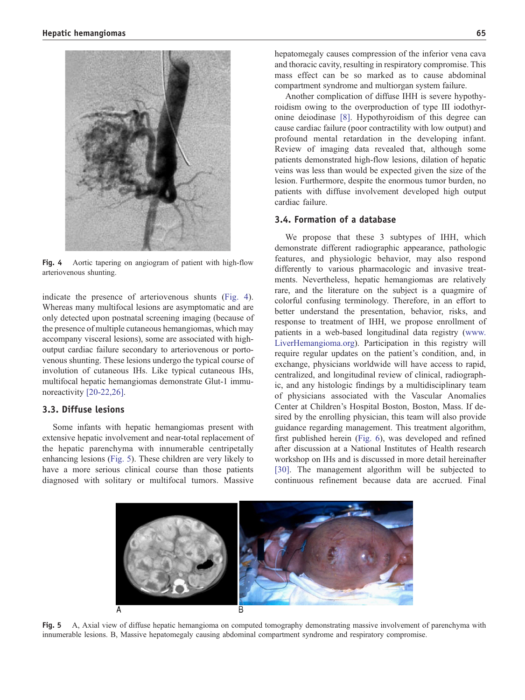

Fig. 4 Aortic tapering on angiogram of patient with high-flow arteriovenous shunting.

indicate the presence of arteriovenous shunts (Fig. 4). Whereas many multifocal lesions are asymptomatic and are only detected upon postnatal screening imaging (because of the presence of multiple cutaneous hemangiomas, which may accompany visceral lesions), some are associated with highoutput cardiac failure secondary to arteriovenous or portovenous shunting. These lesions undergo the typical course of involution of cutaneous IHs. Like typical cutaneous IHs, multifocal hepatic hemangiomas demonstrate Glut-1 immu-noreactivity [\[20-22,26\].](#page-5-0)

#### 3.3. Diffuse lesions

Some infants with hepatic hemangiomas present with extensive hepatic involvement and near-total replacement of the hepatic parenchyma with innumerable centripetally enhancing lesions (Fig. 5). These children are very likely to have a more serious clinical course than those patients diagnosed with solitary or multifocal tumors. Massive

hepatomegaly causes compression of the inferior vena cava and thoracic cavity, resulting in respiratory compromise. This mass effect can be so marked as to cause abdominal compartment syndrome and multiorgan system failure.

Another complication of diffuse IHH is severe hypothyroidism owing to the overproduction of type III iodothyronine deiodinase [\[8\].](#page-5-0) Hypothyroidism of this degree can cause cardiac failure (poor contractility with low output) and profound mental retardation in the developing infant. Review of imaging data revealed that, although some patients demonstrated high-flow lesions, dilation of hepatic veins was less than would be expected given the size of the lesion. Furthermore, despite the enormous tumor burden, no patients with diffuse involvement developed high output cardiac failure.

#### 3.4. Formation of a database

We propose that these 3 subtypes of IHH, which demonstrate different radiographic appearance, pathologic features, and physiologic behavior, may also respond differently to various pharmacologic and invasive treatments. Nevertheless, hepatic hemangiomas are relatively rare, and the literature on the subject is a quagmire of colorful confusing terminology. Therefore, in an effort to better understand the presentation, behavior, risks, and response to treatment of IHH, we propose enrollment of patients in a web-based longitudinal data registry ([www.](http://www.LiverHemangioma.org) LiverHemangioma.org). Participation in this registry will require regular updates on the patient's condition, and, in exchange, physicians worldwide will have access to rapid, centralized, and longitudinal review of clinical, radiographic, and any histologic findings by a multidisciplinary team of physicians associated with the Vascular Anomalies Center at Children's Hospital Boston, Boston, Mass. If desired by the enrolling physician, this team will also provide guidance regarding management. This treatment algorithm, first published herein ([Fig.](#page-4-0) [6\)](#page-4-0), was developed and refined after discussion at a National Institutes of Health research workshop on IHs and is discussed in more detail hereinafter [\[30\].](#page-5-0) The management algorithm will be subjected to continuous refinement because data are accrued. Final



Fig. 5 A, Axial view of diffuse hepatic hemangioma on computed tomography demonstrating massive involvement of parenchyma with innumerable lesions. B, Massive hepatomegaly causing abdominal compartment syndrome and respiratory compromise.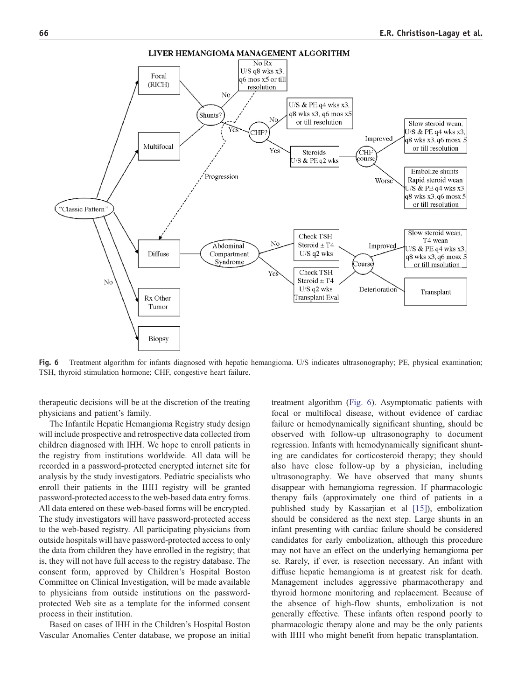<span id="page-4-0"></span>

Fig. 6 Treatment algorithm for infants diagnosed with hepatic hemangioma. U/S indicates ultrasonography; PE, physical examination; TSH, thyroid stimulation hormone; CHF, congestive heart failure.

therapeutic decisions will be at the discretion of the treating physicians and patient's family.

The Infantile Hepatic Hemangioma Registry study design will include prospective and retrospective data collected from children diagnosed with IHH. We hope to enroll patients in the registry from institutions worldwide. All data will be recorded in a password-protected encrypted internet site for analysis by the study investigators. Pediatric specialists who enroll their patients in the IHH registry will be granted password-protected access to the web-based data entry forms. All data entered on these web-based forms will be encrypted. The study investigators will have password-protected access to the web-based registry. All participating physicians from outside hospitals will have password-protected access to only the data from children they have enrolled in the registry; that is, they will not have full access to the registry database. The consent form, approved by Children's Hospital Boston Committee on Clinical Investigation, will be made available to physicians from outside institutions on the passwordprotected Web site as a template for the informed consent process in their institution.

Based on cases of IHH in the Children's Hospital Boston Vascular Anomalies Center database, we propose an initial treatment algorithm (Fig. 6). Asymptomatic patients with focal or multifocal disease, without evidence of cardiac failure or hemodynamically significant shunting, should be observed with follow-up ultrasonography to document regression. Infants with hemodynamically significant shunting are candidates for corticosteroid therapy; they should also have close follow-up by a physician, including ultrasonography. We have observed that many shunts disappear with hemangioma regression. If pharmacologic therapy fails (approximately one third of patients in a published study by Kassarjian et al [\[15\]\)](#page-5-0), embolization should be considered as the next step. Large shunts in an infant presenting with cardiac failure should be considered candidates for early embolization, although this procedure may not have an effect on the underlying hemangioma per se. Rarely, if ever, is resection necessary. An infant with diffuse hepatic hemangioma is at greatest risk for death. Management includes aggressive pharmacotherapy and thyroid hormone monitoring and replacement. Because of the absence of high-flow shunts, embolization is not generally effective. These infants often respond poorly to pharmacologic therapy alone and may be the only patients with IHH who might benefit from hepatic transplantation.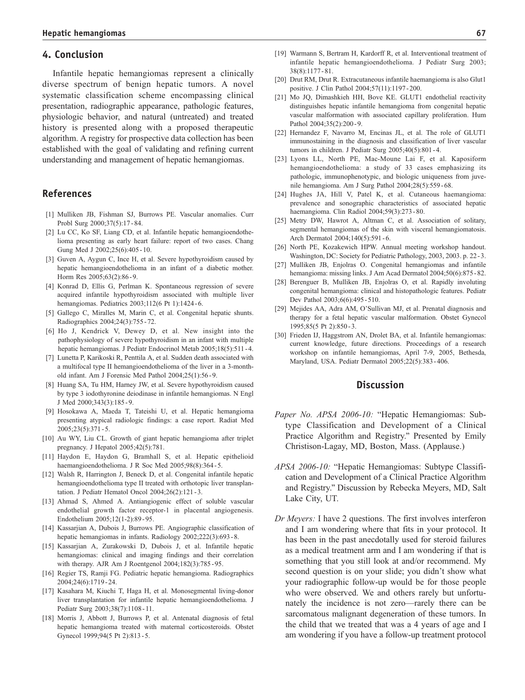### <span id="page-5-0"></span>4. Conclusion

Infantile hepatic hemangiomas represent a clinically diverse spectrum of benign hepatic tumors. A novel systematic classification scheme encompassing clinical presentation, radiographic appearance, pathologic features, physiologic behavior, and natural (untreated) and treated history is presented along with a proposed therapeutic algorithm. A registry for prospective data collection has been established with the goal of validating and refining current understanding and management of hepatic hemangiomas.

## References

- [1] Mulliken JB, Fishman SJ, Burrows PE. Vascular anomalies. Curr Probl Surg 2000;37(5):17 - 84.
- [2] Lu CC, Ko SF, Liang CD, et al. Infantile hepatic hemangioendothelioma presenting as early heart failure: report of two cases. Chang Gung Med J 2002;25(6):405 - 10.
- [3] Guven A, Aygun C, Ince H, et al. Severe hypothyroidism caused by hepatic hemangioendothelioma in an infant of a diabetic mother. Horm Res 2005;63(2):86 - 9.
- [4] Konrad D, Ellis G, Perlman K. Spontaneous regression of severe acquired infantile hypothyroidism associated with multiple liver hemangiomas. Pediatrics 2003;112(6 Pt 1):1424 - 6.
- [5] Gallego C, Miralles M, Marin C, et al. Congenital hepatic shunts. Radiographics 2004;24(3):755 - 72.
- [6] Ho J, Kendrick V, Dewey D, et al. New insight into the pathophysiology of severe hypothyroidism in an infant with multiple hepatic hemangiomas. J Pediatr Endocrinol Metab 2005;18(5):511 - 4.
- [7] Lunetta P, Karikoski R, Penttila A, et al. Sudden death associated with a multifocal type II hemangioendothelioma of the liver in a 3-monthold infant. Am J Forensic Med Pathol 2004;25(1):56 - 9.
- [8] Huang SA, Tu HM, Harney JW, et al. Severe hypothyroidism caused by type 3 iodothyronine deiodinase in infantile hemangiomas. N Engl J Med 2000;343(3):185 - 9.
- [9] Hosokawa A, Maeda T, Tateishi U, et al. Hepatic hemangioma presenting atypical radiologic findings: a case report. Radiat Med 2005;23(5):371 - 5.
- [10] Au WY, Liu CL. Growth of giant hepatic hemangioma after triplet pregnancy. J Hepatol 2005;42(5):781.
- [11] Haydon E, Haydon G, Bramhall S, et al. Hepatic epithelioid haemangioendothelioma. J R Soc Med 2005;98(8):364-5.
- [12] Walsh R, Harrington J, Beneck D, et al. Congenital infantile hepatic hemangioendothelioma type II treated with orthotopic liver transplantation. J Pediatr Hematol Oncol 2004;26(2):121 - 3.
- [13] Ahmad S, Ahmed A. Antiangiogenic effect of soluble vascular endothelial growth factor receptor-1 in placental angiogenesis. Endothelium 2005;12(1-2):89 - 95.
- [14] Kassarjian A, Dubois J, Burrows PE. Angiographic classification of hepatic hemangiomas in infants. Radiology 2002;222(3):693 - 8.
- [15] Kassarjian A, Zurakowski D, Dubois J, et al. Infantile hepatic hemangiomas: clinical and imaging findings and their correlation with therapy. AJR Am J Roentgenol 2004;182(3):785 - 95.
- [16] Regier TS, Ramji FG. Pediatric hepatic hemangioma. Radiographics 2004;24(6):1719 - 24.
- [17] Kasahara M, Kiuchi T, Haga H, et al. Monosegmental living-donor liver transplantation for infantile hepatic hemangioendothelioma. J Pediatr Surg 2003;38(7):1108 - 11.
- [18] Morris J, Abbott J, Burrows P, et al. Antenatal diagnosis of fetal hepatic hemangioma treated with maternal corticosteroids. Obstet Gynecol 1999;94(5 Pt 2):813-5.
- [19] Warmann S, Bertram H, Kardorff R, et al. Interventional treatment of infantile hepatic hemangioendothelioma. J Pediatr Surg 2003; 38(8):1177 - 81.
- [20] Drut RM, Drut R. Extracutaneous infantile haemangioma is also Glut1 positive. J Clin Pathol 2004;57(11):1197 - 200.
- [21] Mo JQ, Dimashkieh HH, Bove KE. GLUT1 endothelial reactivity distinguishes hepatic infantile hemangioma from congenital hepatic vascular malformation with associated capillary proliferation. Hum Pathol 2004;35(2):200-9.
- [22] Hernandez F, Navarro M, Encinas JL, et al. The role of GLUT1 immunostaining in the diagnosis and classification of liver vascular tumors in children. J Pediatr Surg 2005;40(5):801-4.
- [23] Lyons LL, North PE, Mac-Moune Lai F, et al. Kaposiform hemangioendothelioma: a study of 33 cases emphasizing its pathologic, immunophenotypic, and biologic uniqueness from juvenile hemangioma. Am J Surg Pathol 2004;28(5):559 - 68.
- [24] Hughes JA, Hill V, Patel K, et al. Cutaneous haemangioma: prevalence and sonographic characteristics of associated hepatic haemangioma. Clin Radiol 2004;59(3):273 - 80.
- [25] Metry DW, Hawrot A, Altman C, et al. Association of solitary, segmental hemangiomas of the skin with visceral hemangiomatosis. Arch Dermatol 2004;140(5):591-6.
- [26] North PE, Kozakewich HPW. Annual meeting workshop handout. Washington, DC: Society for Pediatric Pathology, 2003, 2003. p. 22-3.
- [27] Mulliken JB, Enjolras O. Congenital hemangiomas and infantile hemangioma: missing links. J Am Acad Dermatol 2004;50(6):875 - 82.
- [28] Berenguer B, Mulliken JB, Enjolras O, et al. Rapidly involuting congenital hemangioma: clinical and histopathologic features. Pediatr Dev Pathol 2003;6(6):495 - 510.
- [29] Mejides AA, Adra AM, O'Sullivan MJ, et al. Prenatal diagnosis and therapy for a fetal hepatic vascular malformation. Obstet Gynecol 1995;85(5 Pt 2):850 - 3.
- [30] Frieden IJ, Haggstrom AN, Drolet BA, et al. Infantile hemangiomas: current knowledge, future directions. Proceedings of a research workshop on infantile hemangiomas, April 7-9, 2005, Bethesda, Maryland, USA. Pediatr Dermatol 2005;22(5):383 - 406.

#### **Discussion**

- Paper No. APSA 2006-10: "Hepatic Hemangiomas: Subtype Classification and Development of a Clinical Practice Algorithm and Registry." Presented by Emily Christison-Lagay, MD, Boston, Mass. (Applause.)
- APSA 2006-10: "Hepatic Hemangiomas: Subtype Classification and Development of a Clinical Practice Algorithm and Registry." Discussion by Rebecka Meyers, MD, Salt Lake City, UT.
- Dr Meyers: I have 2 questions. The first involves interferon and I am wondering where that fits in your protocol. It has been in the past anecdotally used for steroid failures as a medical treatment arm and I am wondering if that is something that you still look at and/or recommend. My second question is on your slide; you didn't show what your radiographic follow-up would be for those people who were observed. We and others rarely but unfortunately the incidence is not zero—rarely there can be sarcomatous malignant degeneration of these tumors. In the child that we treated that was a 4 years of age and I am wondering if you have a follow-up treatment protocol